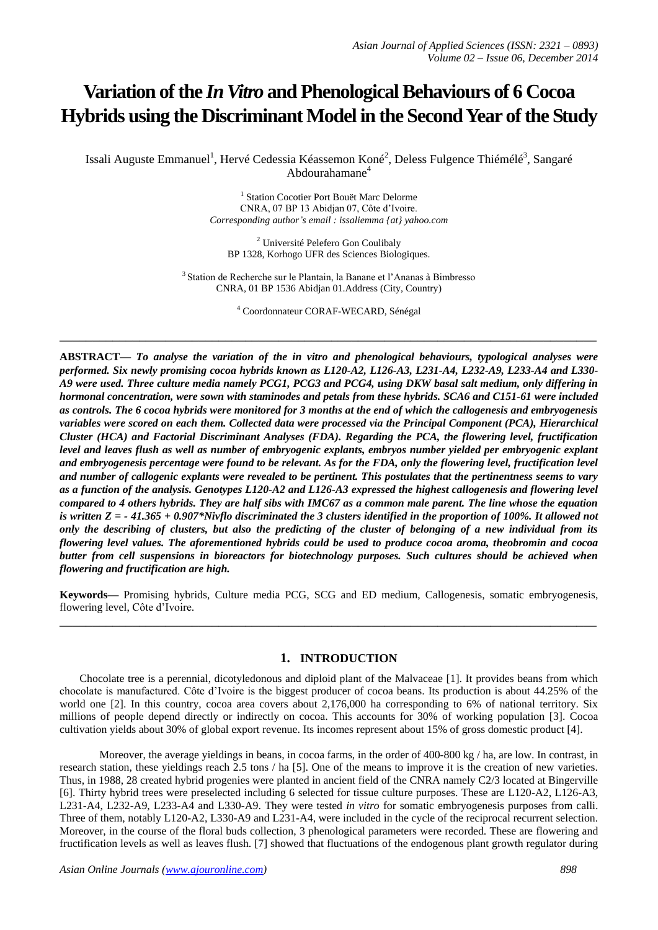# **Variation of the** *In Vitro* **and Phenological Behaviours of 6 Cocoa Hybrids using the Discriminant Model in the Second Year of the Study**

Issali Auguste Emmanuel<sup>1</sup>, Hervé Cedessia Kéassemon Koné<sup>2</sup>, Deless Fulgence Thiémélé<sup>3</sup>, Sangaré Abdourahamane<sup>4</sup>

> <sup>1</sup> Station Cocotier Port Bouët Marc Delorme CNRA, 07 BP 13 Abidjan 07, Côte d'Ivoire. *Corresponding author's email : issaliemma {at} yahoo.com*

<sup>2</sup> Université Pelefero Gon Coulibaly BP 1328, Korhogo UFR des Sciences Biologiques.

3 Station de Recherche sur le Plantain, la Banane et l'Ananas à Bimbresso CNRA, 01 BP 1536 Abidjan 01.Address (City, Country)

<sup>4</sup> Coordonnateur CORAF-WECARD, Sénégal

**\_\_\_\_\_\_\_\_\_\_\_\_\_\_\_\_\_\_\_\_\_\_\_\_\_\_\_\_\_\_\_\_\_\_\_\_\_\_\_\_\_\_\_\_\_\_\_\_\_\_\_\_\_\_\_\_\_\_\_\_\_\_\_\_\_\_\_\_\_\_\_\_\_\_\_\_\_\_\_\_\_**

**ABSTRACT—** *To analyse the variation of the in vitro and phenological behaviours, typological analyses were performed. Six newly promising cocoa hybrids known as L120-A2, L126-A3, L231-A4, L232-A9, L233-A4 and L330- A9 were used. Three culture media namely PCG1, PCG3 and PCG4, using DKW basal salt medium, only differing in hormonal concentration, were sown with staminodes and petals from these hybrids. SCA6 and C151-61 were included as controls. The 6 cocoa hybrids were monitored for 3 months at the end of which the callogenesis and embryogenesis variables were scored on each them. Collected data were processed via the Principal Component (PCA), Hierarchical Cluster (HCA) and Factorial Discriminant Analyses (FDA). Regarding the PCA, the flowering level, fructification level and leaves flush as well as number of embryogenic explants, embryos number yielded per embryogenic explant and embryogenesis percentage were found to be relevant. As for the FDA, only the flowering level, fructification level and number of callogenic explants were revealed to be pertinent. This postulates that the pertinentness seems to vary as a function of the analysis. Genotypes L120-A2 and L126-A3 expressed the highest callogenesis and flowering level compared to 4 others hybrids. They are half sibs with IMC67 as a common male parent. The line whose the equation is written Z = - 41.365 + 0.907\*Nivflo discriminated the 3 clusters identified in the proportion of 100%. It allowed not only the describing of clusters, but also the predicting of the cluster of belonging of a new individual from its flowering level values. The aforementioned hybrids could be used to produce cocoa aroma, theobromin and cocoa butter from cell suspensions in bioreactors for biotechnology purposes. Such cultures should be achieved when flowering and fructification are high.* 

**Keywords—** Promising hybrids, Culture media PCG, SCG and ED medium, Callogenesis, somatic embryogenesis, flowering level, Côte d'Ivoire. **\_\_\_\_\_\_\_\_\_\_\_\_\_\_\_\_\_\_\_\_\_\_\_\_\_\_\_\_\_\_\_\_\_\_\_\_\_\_\_\_\_\_\_\_\_\_\_\_\_\_\_\_\_\_\_\_\_\_\_\_\_\_\_\_\_\_\_\_\_\_\_\_\_\_\_\_\_\_\_\_\_**

# **1. INTRODUCTION**

Chocolate tree is a perennial, dicotyledonous and diploid plant of the Malvaceae [1]. It provides beans from which chocolate is manufactured. Côte d'Ivoire is the biggest producer of cocoa beans. Its production is about 44.25% of the world one [2]. In this country, cocoa area covers about 2,176,000 ha corresponding to 6% of national territory. Six millions of people depend directly or indirectly on cocoa. This accounts for 30% of working population [3]. Cocoa cultivation yields about 30% of global export revenue. Its incomes represent about 15% of gross domestic product [4].

Moreover, the average yieldings in beans, in cocoa farms, in the order of 400-800 kg / ha, are low. In contrast, in research station, these yieldings reach 2.5 tons / ha [5]. One of the means to improve it is the creation of new varieties. Thus, in 1988, 28 created hybrid progenies were planted in ancient field of the CNRA namely C2/3 located at Bingerville [6]. Thirty hybrid trees were preselected including 6 selected for tissue culture purposes. These are L120-A2, L126-A3, L231-A4, L232-A9, L233-A4 and L330-A9. They were tested *in vitro* for somatic embryogenesis purposes from calli. Three of them, notably L120-A2, L330-A9 and L231-A4, were included in the cycle of the reciprocal recurrent selection. Moreover, in the course of the floral buds collection, 3 phenological parameters were recorded. These are flowering and fructification levels as well as leaves flush. [7] showed that fluctuations of the endogenous plant growth regulator during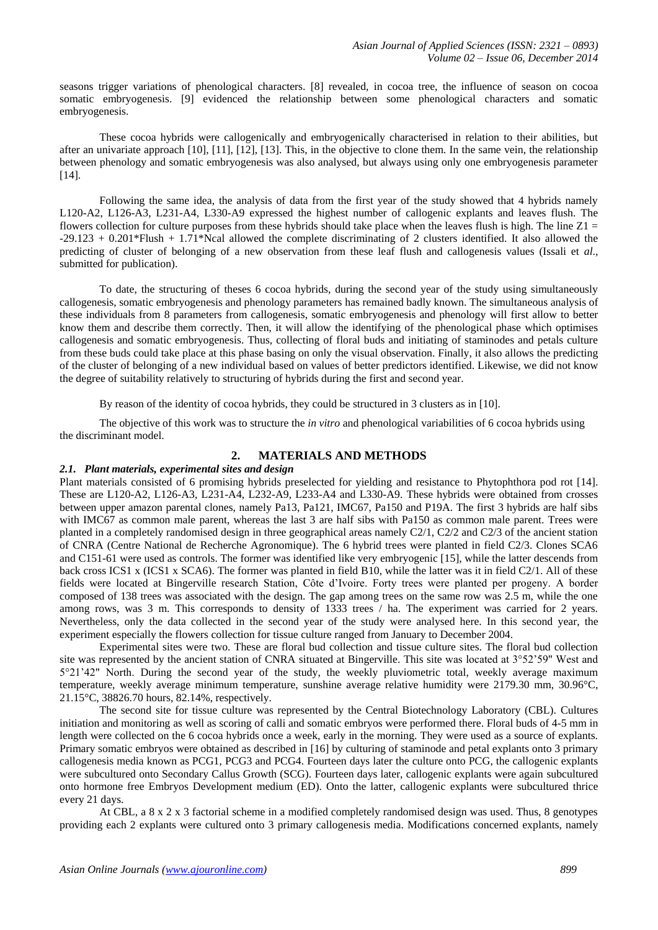seasons trigger variations of phenological characters. [8] revealed, in cocoa tree, the influence of season on cocoa somatic embryogenesis. [9] evidenced the relationship between some phenological characters and somatic embryogenesis.

These cocoa hybrids were callogenically and embryogenically characterised in relation to their abilities, but after an univariate approach [10], [11], [12], [13]. This, in the objective to clone them. In the same vein, the relationship between phenology and somatic embryogenesis was also analysed, but always using only one embryogenesis parameter [14].

Following the same idea, the analysis of data from the first year of the study showed that 4 hybrids namely L120-A2, L126-A3, L231-A4, L330-A9 expressed the highest number of callogenic explants and leaves flush. The flowers collection for culture purposes from these hybrids should take place when the leaves flush is high. The line  $Z_1 =$ -29.123 + 0.201\*Flush + 1.71\*Ncal allowed the complete discriminating of 2 clusters identified. It also allowed the predicting of cluster of belonging of a new observation from these leaf flush and callogenesis values (Issali et *al*., submitted for publication).

To date, the structuring of theses 6 cocoa hybrids, during the second year of the study using simultaneously callogenesis, somatic embryogenesis and phenology parameters has remained badly known. The simultaneous analysis of these individuals from 8 parameters from callogenesis, somatic embryogenesis and phenology will first allow to better know them and describe them correctly. Then, it will allow the identifying of the phenological phase which optimises callogenesis and somatic embryogenesis. Thus, collecting of floral buds and initiating of staminodes and petals culture from these buds could take place at this phase basing on only the visual observation. Finally, it also allows the predicting of the cluster of belonging of a new individual based on values of better predictors identified. Likewise, we did not know the degree of suitability relatively to structuring of hybrids during the first and second year.

By reason of the identity of cocoa hybrids, they could be structured in 3 clusters as in [10].

The objective of this work was to structure the *in vitro* and phenological variabilities of 6 cocoa hybrids using the discriminant model.

# **2. MATERIALS AND METHODS**

# *2.1. Plant materials, experimental sites and design*

Plant materials consisted of 6 promising hybrids preselected for yielding and resistance to Phytophthora pod rot [14]. These are L120-A2, L126-A3, L231-A4, L232-A9, L233-A4 and L330-A9. These hybrids were obtained from crosses between upper amazon parental clones, namely Pa13, Pa121, IMC67, Pa150 and P19A. The first 3 hybrids are half sibs with IMC67 as common male parent, whereas the last 3 are half sibs with Pa150 as common male parent. Trees were planted in a completely randomised design in three geographical areas namely C2/1, C2/2 and C2/3 of the ancient station of CNRA (Centre National de Recherche Agronomique). The 6 hybrid trees were planted in field C2/3. Clones SCA6 and C151-61 were used as controls. The former was identified like very embryogenic [15], while the latter descends from back cross ICS1 x (ICS1 x SCA6). The former was planted in field B10, while the latter was it in field C2/1. All of these fields were located at Bingerville research Station, Côte d'Ivoire. Forty trees were planted per progeny. A border composed of 138 trees was associated with the design. The gap among trees on the same row was 2.5 m, while the one among rows, was 3 m. This corresponds to density of 1333 trees / ha. The experiment was carried for 2 years. Nevertheless, only the data collected in the second year of the study were analysed here. In this second year, the experiment especially the flowers collection for tissue culture ranged from January to December 2004.

Experimental sites were two. These are floral bud collection and tissue culture sites. The floral bud collection site was represented by the ancient station of CNRA situated at Bingerville. This site was located at 3°52'59" West and 5°21'42" North. During the second year of the study, the weekly pluviometric total, weekly average maximum temperature, weekly average minimum temperature, sunshine average relative humidity were 2179.30 mm, 30.96°C, 21.15°C, 38826.70 hours, 82.14%, respectively.

The second site for tissue culture was represented by the Central Biotechnology Laboratory (CBL). Cultures initiation and monitoring as well as scoring of calli and somatic embryos were performed there. Floral buds of 4-5 mm in length were collected on the 6 cocoa hybrids once a week, early in the morning. They were used as a source of explants. Primary somatic embryos were obtained as described in [16] by culturing of staminode and petal explants onto 3 primary callogenesis media known as PCG1, PCG3 and PCG4. Fourteen days later the culture onto PCG, the callogenic explants were subcultured onto Secondary Callus Growth (SCG). Fourteen days later, callogenic explants were again subcultured onto hormone free Embryos Development medium (ED). Onto the latter, callogenic explants were subcultured thrice every 21 days.

At CBL, a 8 x 2 x 3 factorial scheme in a modified completely randomised design was used. Thus, 8 genotypes providing each 2 explants were cultured onto 3 primary callogenesis media. Modifications concerned explants, namely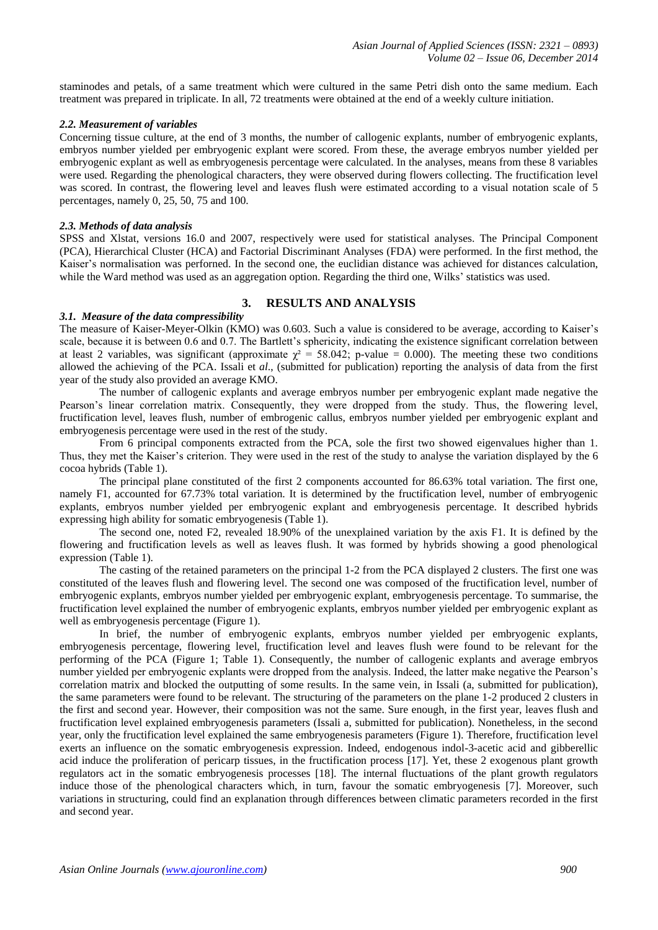staminodes and petals, of a same treatment which were cultured in the same Petri dish onto the same medium. Each treatment was prepared in triplicate. In all, 72 treatments were obtained at the end of a weekly culture initiation.

#### *2.2. Measurement of variables*

Concerning tissue culture, at the end of 3 months, the number of callogenic explants, number of embryogenic explants, embryos number yielded per embryogenic explant were scored. From these, the average embryos number yielded per embryogenic explant as well as embryogenesis percentage were calculated. In the analyses, means from these 8 variables were used. Regarding the phenological characters, they were observed during flowers collecting. The fructification level was scored. In contrast, the flowering level and leaves flush were estimated according to a visual notation scale of 5 percentages, namely 0, 25, 50, 75 and 100.

#### *2.3. Methods of data analysis*

SPSS and Xlstat, versions 16.0 and 2007, respectively were used for statistical analyses. The Principal Component (PCA), Hierarchical Cluster (HCA) and Factorial Discriminant Analyses (FDA) were performed. In the first method, the Kaiser's normalisation was perforned. In the second one, the euclidian distance was achieved for distances calculation, while the Ward method was used as an aggregation option. Regarding the third one, Wilks' statistics was used.

# **3. RESULTS AND ANALYSIS**

### *3.1. Measure of the data compressibility*

The measure of Kaiser-Meyer-Olkin (KMO) was 0.603. Such a value is considered to be average, according to Kaiser's scale, because it is between 0.6 and 0.7. The Bartlett's sphericity, indicating the existence significant correlation between at least 2 variables, was significant (approximate  $\chi^2 = 58.042$ ; p-value = 0.000). The meeting these two conditions allowed the achieving of the PCA. Issali et *al*., (submitted for publication) reporting the analysis of data from the first year of the study also provided an average KMO.

The number of callogenic explants and average embryos number per embryogenic explant made negative the Pearson's linear correlation matrix. Consequently, they were dropped from the study. Thus, the flowering level, fructification level, leaves flush, number of embrogenic callus, embryos number yielded per embryogenic explant and embryogenesis percentage were used in the rest of the study.

From 6 principal components extracted from the PCA, sole the first two showed eigenvalues higher than 1. Thus, they met the Kaiser's criterion. They were used in the rest of the study to analyse the variation displayed by the 6 cocoa hybrids (Table 1).

The principal plane constituted of the first 2 components accounted for 86.63% total variation. The first one, namely F1, accounted for 67.73% total variation. It is determined by the fructification level, number of embryogenic explants, embryos number yielded per embryogenic explant and embryogenesis percentage. It described hybrids expressing high ability for somatic embryogenesis (Table 1).

The second one, noted F2, revealed 18.90% of the unexplained variation by the axis F1. It is defined by the flowering and fructification levels as well as leaves flush. It was formed by hybrids showing a good phenological expression (Table 1).

The casting of the retained parameters on the principal 1-2 from the PCA displayed 2 clusters. The first one was constituted of the leaves flush and flowering level. The second one was composed of the fructification level, number of embryogenic explants, embryos number yielded per embryogenic explant, embryogenesis percentage. To summarise, the fructification level explained the number of embryogenic explants, embryos number yielded per embryogenic explant as well as embryogenesis percentage (Figure 1).

In brief, the number of embryogenic explants, embryos number yielded per embryogenic explants, embryogenesis percentage, flowering level, fructification level and leaves flush were found to be relevant for the performing of the PCA (Figure 1; Table 1). Consequently, the number of callogenic explants and average embryos number yielded per embryogenic explants were dropped from the analysis. Indeed, the latter make negative the Pearson's correlation matrix and blocked the outputting of some results. In the same vein, in Issali (a, submitted for publication), the same parameters were found to be relevant. The structuring of the parameters on the plane 1-2 produced 2 clusters in the first and second year. However, their composition was not the same. Sure enough, in the first year, leaves flush and fructification level explained embryogenesis parameters (Issali a, submitted for publication). Nonetheless, in the second year, only the fructification level explained the same embryogenesis parameters (Figure 1). Therefore, fructification level exerts an influence on the somatic embryogenesis expression. Indeed, endogenous indol-3-acetic acid and gibberellic acid induce the proliferation of pericarp tissues, in the fructification process [17]. Yet, these 2 exogenous plant growth regulators act in the somatic embryogenesis processes [18]. The internal fluctuations of the plant growth regulators induce those of the phenological characters which, in turn, favour the somatic embryogenesis [7]. Moreover, such variations in structuring, could find an explanation through differences between climatic parameters recorded in the first and second year.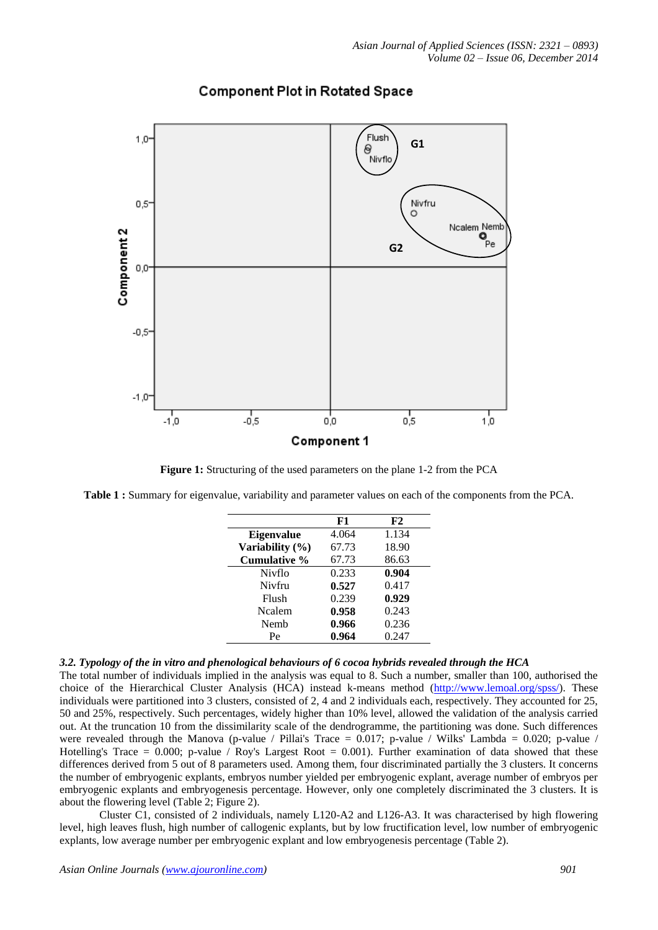

# **Component Plot in Rotated Space**

Figure 1: Structuring of the used parameters on the plane 1-2 from the PCA

**Table 1 :** Summary for eigenvalue, variability and parameter values on each of the components from the PCA.

|                   | F1    | F2    |
|-------------------|-------|-------|
| <b>Eigenvalue</b> | 4.064 | 1.134 |
| Variability (%)   | 67.73 | 18.90 |
| Cumulative %      | 67.73 | 86.63 |
| Nivflo            | 0.233 | 0.904 |
| Nivfru            | 0.527 | 0.417 |
| Flush             | 0.239 | 0.929 |
| Ncalem            | 0.958 | 0.243 |
| Nemb              | 0.966 | 0.236 |
| Pe                | 0.964 | 0.247 |

### *3.2. Typology of the in vitro and phenological behaviours of 6 cocoa hybrids revealed through the HCA*

The total number of individuals implied in the analysis was equal to 8. Such a number, smaller than 100, authorised the choice of the Hierarchical Cluster Analysis (HCA) instead k-means method [\(http://www.lemoal.org/spss/\)](http://www.lemoal.org/spss/). These individuals were partitioned into 3 clusters, consisted of 2, 4 and 2 individuals each, respectively. They accounted for 25, 50 and 25%, respectively. Such percentages, widely higher than 10% level, allowed the validation of the analysis carried out. At the truncation 10 from the dissimilarity scale of the dendrogramme, the partitioning was done. Such differences were revealed through the Manova (p-value / Pillai's Trace = 0.017; p-value / Wilks' Lambda = 0.020; p-value / Hotelling's Trace = 0.000; p-value / Roy's Largest Root = 0.001). Further examination of data showed that these differences derived from 5 out of 8 parameters used. Among them, four discriminated partially the 3 clusters. It concerns the number of embryogenic explants, embryos number yielded per embryogenic explant, average number of embryos per embryogenic explants and embryogenesis percentage. However, only one completely discriminated the 3 clusters. It is about the flowering level (Table 2; Figure 2).

Cluster C1, consisted of 2 individuals, namely L120-A2 and L126-A3. It was characterised by high flowering level, high leaves flush, high number of callogenic explants, but by low fructification level, low number of embryogenic explants, low average number per embryogenic explant and low embryogenesis percentage (Table 2).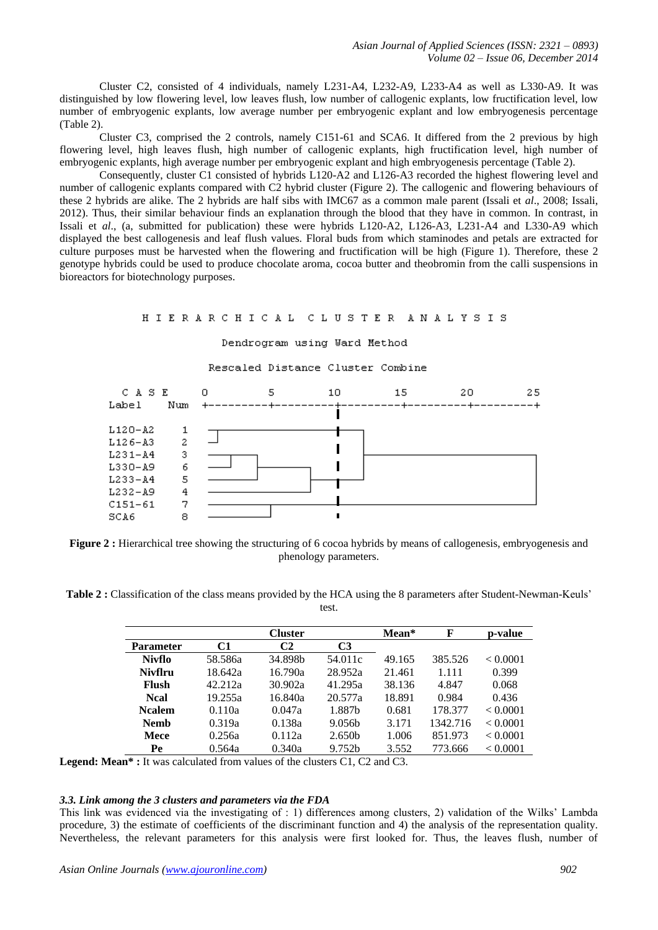Cluster C2, consisted of 4 individuals, namely L231-A4, L232-A9, L233-A4 as well as L330-A9. It was distinguished by low flowering level, low leaves flush, low number of callogenic explants, low fructification level, low number of embryogenic explants, low average number per embryogenic explant and low embryogenesis percentage (Table 2).

Cluster C3, comprised the 2 controls, namely C151-61 and SCA6. It differed from the 2 previous by high flowering level, high leaves flush, high number of callogenic explants, high fructification level, high number of embryogenic explants, high average number per embryogenic explant and high embryogenesis percentage (Table 2).

Consequently, cluster C1 consisted of hybrids L120-A2 and L126-A3 recorded the highest flowering level and number of callogenic explants compared with C2 hybrid cluster (Figure 2). The callogenic and flowering behaviours of these 2 hybrids are alike. The 2 hybrids are half sibs with IMC67 as a common male parent (Issali et *al*., 2008; Issali, 2012). Thus, their similar behaviour finds an explanation through the blood that they have in common. In contrast, in Issali et *al*., (a, submitted for publication) these were hybrids L120-A2, L126-A3, L231-A4 and L330-A9 which displayed the best callogenesis and leaf flush values. Floral buds from which staminodes and petals are extracted for culture purposes must be harvested when the flowering and fructification will be high (Figure 1). Therefore, these 2 genotype hybrids could be used to produce chocolate aroma, cocoa butter and theobromin from the calli suspensions in bioreactors for biotechnology purposes.

#### HIERARCHICAL CLUSTER ANALYSIS

#### Dendrogram using Ward Method

#### Rescaled Distance Cluster Combine



**Figure 2 :** Hierarchical tree showing the structuring of 6 cocoa hybrids by means of callogenesis, embryogenesis and phenology parameters.

**Table 2 :** Classification of the class means provided by the HCA using the 8 parameters after Student-Newman-Keuls' test.

|                  |         | Cluster        |                    | Mean*  | F        | p-value  |
|------------------|---------|----------------|--------------------|--------|----------|----------|
| <b>Parameter</b> | C1      | C <sub>2</sub> | C <sub>3</sub>     |        |          |          |
| Nivflo           | 58.586a | 34.898b        | 54.011c            | 49.165 | 385.526  | < 0.0001 |
| Nivflru          | 18.642a | 16.790a        | 28.952a            | 21.461 | 1.111    | 0.399    |
| <b>Flush</b>     | 42.212a | 30.902a        | 41.295a            | 38.136 | 4.847    | 0.068    |
| <b>Ncal</b>      | 19.255a | 16.840a        | 20.577a            | 18.891 | 0.984    | 0.436    |
| <b>Ncalem</b>    | 0.110a  | 0.047a         | 1.887b             | 0.681  | 178.377  | < 0.0001 |
| Nemb             | 0.319a  | 0.138a         | 9.056 <sub>b</sub> | 3.171  | 1342.716 | < 0.0001 |
| <b>Mece</b>      | 0.256a  | 0.112a         | 2.650 <sub>b</sub> | 1.006  | 851.973  | < 0.0001 |
| Pe               | 0.564a  | 0.340a         | 9.752 <sub>b</sub> | 3.552  | 773.666  | < 0.0001 |

**Legend: Mean\* :** It was calculated from values of the clusters C1, C2 and C3.

#### *3.3. Link among the 3 clusters and parameters via the FDA*

This link was evidenced via the investigating of : 1) differences among clusters, 2) validation of the Wilks' Lambda procedure, 3) the estimate of coefficients of the discriminant function and 4) the analysis of the representation quality. Nevertheless, the relevant parameters for this analysis were first looked for. Thus, the leaves flush, number of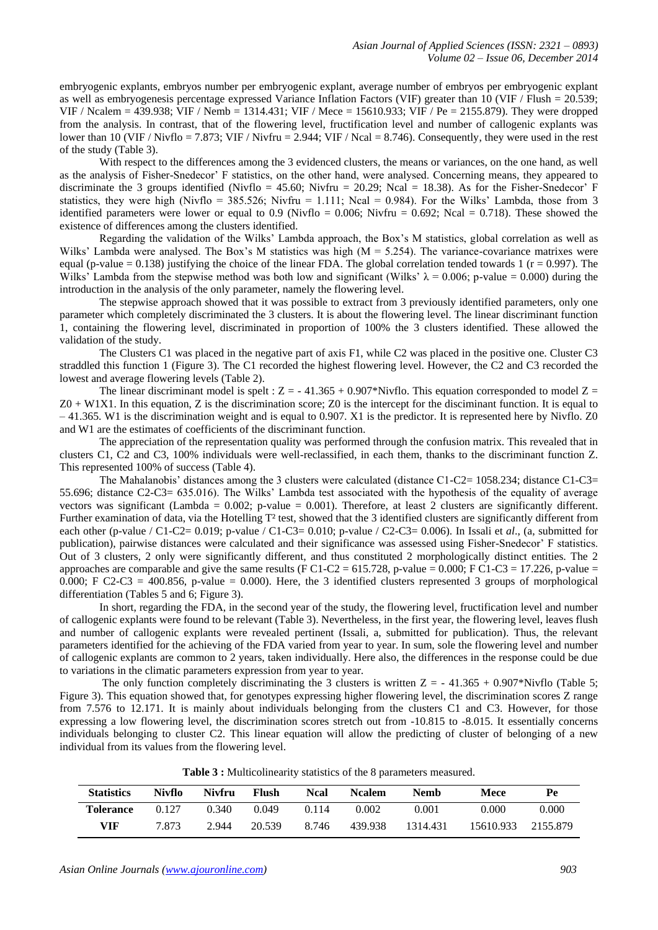embryogenic explants, embryos number per embryogenic explant, average number of embryos per embryogenic explant as well as embryogenesis percentage expressed Variance Inflation Factors (VIF) greater than 10 (VIF / Flush = 20.539; VIF / Ncalem = 439.938; VIF / Nemb = 1314.431; VIF / Mece = 15610.933; VIF / Pe = 2155.879). They were dropped from the analysis. In contrast, that of the flowering level, fructification level and number of callogenic explants was lower than 10 (VIF / Nivflo = 7.873; VIF / Nivfru = 2.944; VIF / Ncal = 8.746). Consequently, they were used in the rest of the study (Table 3).

With respect to the differences among the 3 evidenced clusters, the means or variances, on the one hand, as well as the analysis of Fisher-Snedecor' F statistics, on the other hand, were analysed. Concerning means, they appeared to discriminate the 3 groups identified (Nivflo = 45.60; Nivfru = 20.29; Ncal = 18.38). As for the Fisher-Snedecor' F statistics, they were high (Nivflo = 385.526; Nivfru = 1.111; Ncal = 0.984). For the Wilks' Lambda, those from 3 identified parameters were lower or equal to 0.9 (Nivflo = 0.006; Nivfru = 0.692; Ncal = 0.718). These showed the existence of differences among the clusters identified.

Regarding the validation of the Wilks' Lambda approach, the Box's M statistics, global correlation as well as Wilks' Lambda were analysed. The Box's M statistics was high  $(M = 5.254)$ . The variance-covariance matrixes were equal (p-value  $= 0.138$ ) justifying the choice of the linear FDA. The global correlation tended towards 1 ( $r = 0.997$ ). The Wilks' Lambda from the stepwise method was both low and significant (Wilks'  $\lambda = 0.006$ ; p-value = 0.000) during the introduction in the analysis of the only parameter, namely the flowering level.

The stepwise approach showed that it was possible to extract from 3 previously identified parameters, only one parameter which completely discriminated the 3 clusters. It is about the flowering level. The linear discriminant function 1, containing the flowering level, discriminated in proportion of 100% the 3 clusters identified. These allowed the validation of the study.

The Clusters C1 was placed in the negative part of axis F1, while C2 was placed in the positive one. Cluster C3 straddled this function 1 (Figure 3). The C1 recorded the highest flowering level. However, the C2 and C3 recorded the lowest and average flowering levels (Table 2).

The linear discriminant model is spelt :  $Z = -41.365 + 0.907*$  Nivflo. This equation corresponded to model  $Z =$  $Z_0 + W_1X_1$ . In this equation, Z is the discrimination score; Z0 is the intercept for the disciminant function. It is equal to  $-41.365$ . W1 is the discrimination weight and is equal to 0.907. X1 is the predictor. It is represented here by Nivflo. Z0 and W1 are the estimates of coefficients of the discriminant function.

The appreciation of the representation quality was performed through the confusion matrix. This revealed that in clusters C1, C2 and C3, 100% individuals were well-reclassified, in each them, thanks to the discriminant function Z. This represented 100% of success (Table 4).

The Mahalanobis' distances among the 3 clusters were calculated (distance  $C1-C2= 1058.234$ ; distance  $C1-C3=$ 55.696; distance C2-C3= 635.016). The Wilks' Lambda test associated with the hypothesis of the equality of average vectors was significant (Lambda =  $0.002$ ; p-value =  $0.001$ ). Therefore, at least 2 clusters are significantly different. Further examination of data, via the Hotelling T<sup>2</sup> test, showed that the 3 identified clusters are significantly different from each other (p-value / C1-C2= 0.019; p-value / C1-C3= 0.010; p-value / C2-C3= 0.006). In Issali et *al*., (a, submitted for publication), pairwise distances were calculated and their significance was assessed using Fisher-Snedecor' F statistics. Out of 3 clusters, 2 only were significantly different, and thus constituted 2 morphologically distinct entities. The 2 approaches are comparable and give the same results (F C1-C2 = 615.728, p-value = 0.000; F C1-C3 = 17.226, p-value = 0.000; F C2-C3 = 400.856, p-value = 0.000). Here, the 3 identified clusters represented 3 groups of morphological differentiation (Tables 5 and 6; Figure 3).

In short, regarding the FDA, in the second year of the study, the flowering level, fructification level and number of callogenic explants were found to be relevant (Table 3). Nevertheless, in the first year, the flowering level, leaves flush and number of callogenic explants were revealed pertinent (Issali, a, submitted for publication). Thus, the relevant parameters identified for the achieving of the FDA varied from year to year. In sum, sole the flowering level and number of callogenic explants are common to 2 years, taken individually. Here also, the differences in the response could be due to variations in the climatic parameters expression from year to year.

The only function completely discriminating the 3 clusters is written  $Z = -41.365 + 0.907*$ Nivflo (Table 5; Figure 3). This equation showed that, for genotypes expressing higher flowering level, the discrimination scores Z range from 7.576 to 12.171. It is mainly about individuals belonging from the clusters C1 and C3. However, for those expressing a low flowering level, the discrimination scores stretch out from -10.815 to -8.015. It essentially concerns individuals belonging to cluster C2. This linear equation will allow the predicting of cluster of belonging of a new individual from its values from the flowering level.

| <b>Statistics</b> | Nivflo | Nivfru | Flush  | Ncal  | Ncalem  | <b>Nemb</b> | Mece      | Pe       |
|-------------------|--------|--------|--------|-------|---------|-------------|-----------|----------|
| Tolerance         | 0.127  | 0.340  | 0.049  | 0.114 | 0.002   | 0.001       | 0.000     | 0.000    |
| VIF               | 7.873  | 2.944  | 20.539 | 8.746 | 439.938 | 1314.431    | 15610.933 | 2155.879 |

**Table 3 :** Multicolinearity statistics of the 8 parameters measured.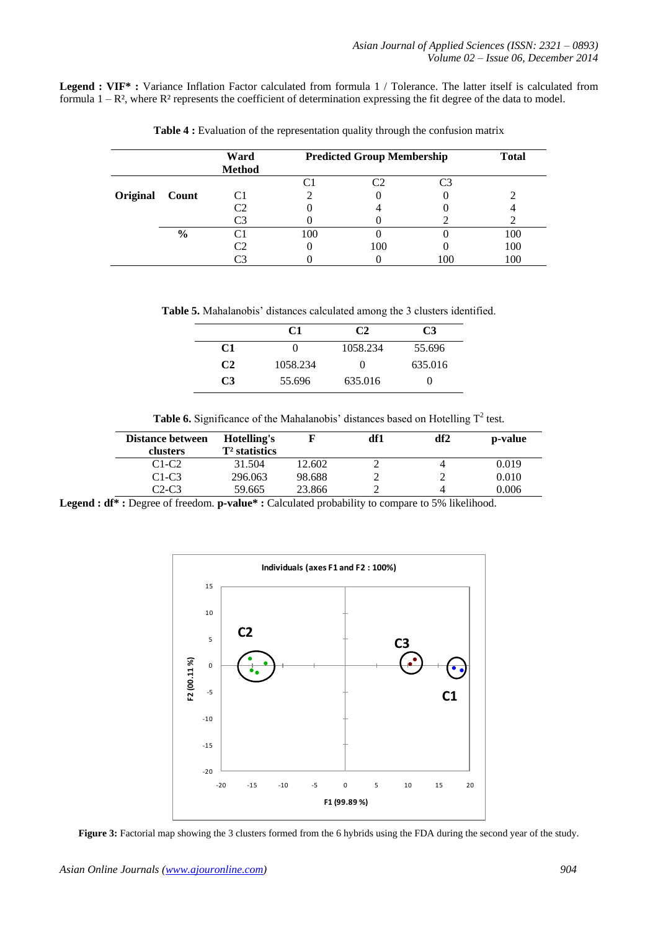**Legend : VIF\* :** Variance Inflation Factor calculated from formula 1 / Tolerance. The latter itself is calculated from formula  $1 - R^2$ , where  $R^2$  represents the coefficient of determination expressing the fit degree of the data to model.

|          |               | Ward<br><b>Method</b> | <b>Predicted Group Membership</b> |     |     | <b>Total</b> |
|----------|---------------|-----------------------|-----------------------------------|-----|-----|--------------|
|          |               |                       |                                   | رس  | ርገ  |              |
| Original | Count         | C1                    |                                   |     |     |              |
|          |               | C2                    |                                   |     |     |              |
|          |               | C3                    |                                   |     |     |              |
|          | $\frac{6}{9}$ |                       | 100                               |     |     | 100          |
|          |               | ~2                    |                                   | 100 |     | 100          |
|          |               |                       |                                   |     | 100 | 100          |

**Table 4 :** Evaluation of the representation quality through the confusion matrix

**Table 5.** Mahalanobis' distances calculated among the 3 clusters identified.

|                | C1       | C2       | C <sub>3</sub> |
|----------------|----------|----------|----------------|
| C1             |          | 1058.234 | 55.696         |
| C <sub>2</sub> | 1058.234 | 0        | 635.016        |
| C <sub>3</sub> | 55.696   | 635.016  |                |

**Table 6.** Significance of the Mahalanobis' distances based on Hotelling  $T^2$  test.

| <b>Distance between</b><br>clusters | Hotelling's<br>T <sup>2</sup> statistics |        | df1 | df2 | p-value |
|-------------------------------------|------------------------------------------|--------|-----|-----|---------|
| $C1-C2$                             | 31.504                                   | 12.602 |     |     | 0.019   |
| $C1-C3$                             | 296.063                                  | 98.688 |     |     | 0.010   |
| C2-C3                               | 59.665                                   | 23.866 |     |     | 0.006   |

Legend :  $df^*$  : Degree of freedom. **p-value**<sup>\*</sup> : Calculated probability to compare to 5% likelihood.



**Figure 3:** Factorial map showing the 3 clusters formed from the 6 hybrids using the FDA during the second year of the study.